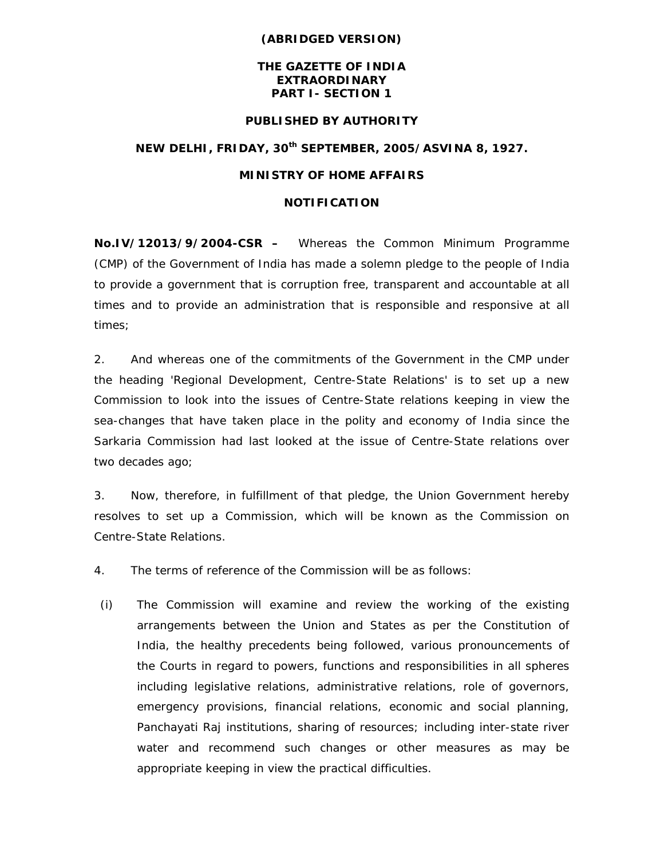### **(ABRIDGED VERSION)**

# **THE GAZETTE OF INDIA EXTRAORDINARY PART I- SECTION 1**

#### **PUBLISHED BY AUTHORITY**

# **NEW DELHI, FRIDAY, 30th SEPTEMBER, 2005/ASVINA 8, 1927.**

### **MINISTRY OF HOME AFFAIRS**

# **NOTIFICATION**

**No.IV/12013/9/2004-CSR –** Whereas the Common Minimum Programme (CMP) of the Government of India has made a solemn pledge to the people of India to provide a government that is corruption free, transparent and accountable at all times and to provide an administration that is responsible and responsive at all times;

2. And whereas one of the commitments of the Government in the CMP under the heading 'Regional Development, Centre-State Relations' is to set up a new Commission to look into the issues of Centre-State relations keeping in view the sea-changes that have taken place in the polity and economy of India since the Sarkaria Commission had last looked at the issue of Centre-State relations over two decades ago;

3. Now, therefore, in fulfillment of that pledge, the Union Government hereby resolves to set up a Commission, which will be known as the Commission on Centre-State Relations.

4. The terms of reference of the Commission will be as follows:

(i) The Commission will examine and review the working of the existing arrangements between the Union and States as per the Constitution of India, the healthy precedents being followed, various pronouncements of the Courts in regard to powers, functions and responsibilities in all spheres including legislative relations, administrative relations, role of governors, emergency provisions, financial relations, economic and social planning, Panchayati Raj institutions, sharing of resources; including inter-state river water and recommend such changes or other measures as may be appropriate keeping in view the practical difficulties.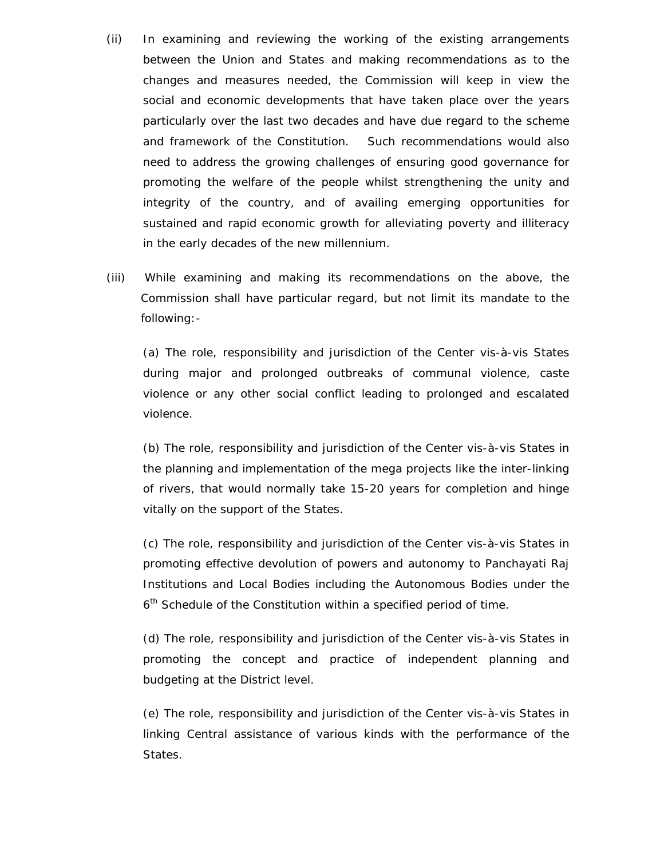- (ii) In examining and reviewing the working of the existing arrangements between the Union and States and making recommendations as to the changes and measures needed, the Commission will keep in view the social and economic developments that have taken place over the years particularly over the last two decades and have due regard to the scheme and framework of the Constitution. Such recommendations would also need to address the growing challenges of ensuring good governance for promoting the welfare of the people whilst strengthening the unity and integrity of the country, and of availing emerging opportunities for sustained and rapid economic growth for alleviating poverty and illiteracy in the early decades of the new millennium.
- (iii) While examining and making its recommendations on the above, the Commission shall have particular regard, but not limit its mandate to the following:-

(a) The role, responsibility and jurisdiction of the Center vis-à-vis States during major and prolonged outbreaks of communal violence, caste violence or any other social conflict leading to prolonged and escalated violence.

(b) The role, responsibility and jurisdiction of the Center vis-à-vis States in the planning and implementation of the mega projects like the inter-linking of rivers, that would normally take 15-20 years for completion and hinge vitally on the support of the States.

(c) The role, responsibility and jurisdiction of the Center vis-à-vis States in promoting effective devolution of powers and autonomy to Panchayati Raj Institutions and Local Bodies including the Autonomous Bodies under the 6<sup>th</sup> Schedule of the Constitution within a specified period of time.

(d) The role, responsibility and jurisdiction of the Center vis-à-vis States in promoting the concept and practice of independent planning and budgeting at the District level.

(e) The role, responsibility and jurisdiction of the Center vis-à-vis States in linking Central assistance of various kinds with the performance of the States.